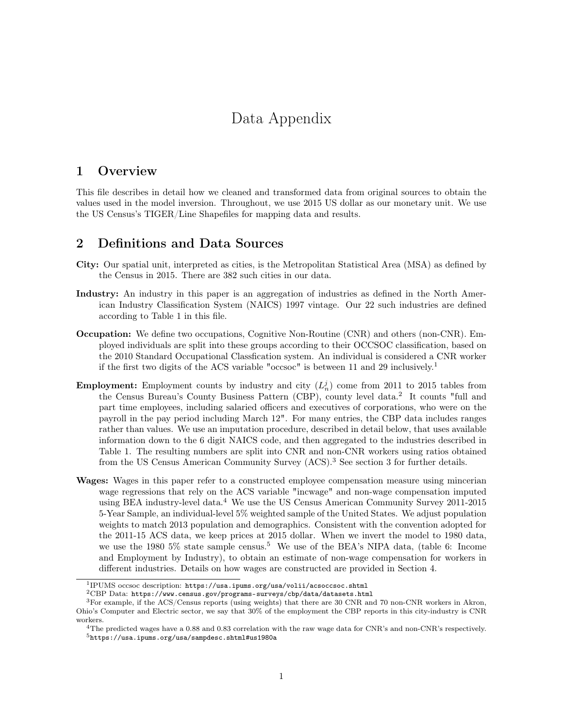# Data Appendix

# 1 Overview

This file describes in detail how we cleaned and transformed data from original sources to obtain the values used in the model inversion. Throughout, we use 2015 US dollar as our monetary unit. We use the US Census's TIGER/Line Shapefiles for mapping data and results.

# 2 Definitions and Data Sources

- City: Our spatial unit, interpreted as cities, is the Metropolitan Statistical Area (MSA) as defined by the Census in 2015. There are 382 such cities in our data.
- Industry: An industry in this paper is an aggregation of industries as defined in the North American Industry Classification System (NAICS) 1997 vintage. Our 22 such industries are defined according to Table 1 in this file.
- Occupation: We define two occupations, Cognitive Non-Routine (CNR) and others (non-CNR). Employed individuals are split into these groups according to their OCCSOC classification, based on the 2010 Standard Occupational Classfication system. An individual is considered a CNR worker if the first two digits of the ACS variable "occsoc" is between 11 and 29 inclusively.<sup>1</sup>
- **Employment:** Employment counts by industry and city  $(L_n^j)$  come from 2011 to 2015 tables from the Census Bureau's County Business Pattern (CBP), county level data.<sup>2</sup> It counts "full and part time employees, including salaried officers and executives of corporations, who were on the payroll in the pay period including March 12". For many entries, the CBP data includes ranges rather than values. We use an imputation procedure, described in detail below, that uses available information down to the 6 digit NAICS code, and then aggregated to the industries described in Table 1. The resulting numbers are split into CNR and non-CNR workers using ratios obtained from the US Census American Community Survey (ACS).<sup>3</sup> See section 3 for further details.
- Wages: Wages in this paper refer to a constructed employee compensation measure using mincerian wage regressions that rely on the ACS variable "incwage" and non-wage compensation imputed using BEA industry-level data.<sup>4</sup> We use the US Census American Community Survey 2011-2015 5-Year Sample, an individual-level 5% weighted sample of the United States. We adjust population weights to match 2013 population and demographics. Consistent with the convention adopted for the 2011-15 ACS data, we keep prices at 2015 dollar. When we invert the model to 1980 data, we use the 1980 5% state sample census.<sup>5</sup> We use of the BEA's NIPA data, (table 6: Income and Employment by Industry), to obtain an estimate of non-wage compensation for workers in different industries. Details on how wages are constructed are provided in Section 4.

<sup>1</sup> IPUMS occsoc description: https://usa.ipums.org/usa/volii/acsoccsoc.shtml

 $^2\mathrm{CBP}$ Data: https://www.census.gov/programs-surveys/cbp/data/datasets.html

<sup>3</sup>For example, if the ACS/Census reports (using weights) that there are 30 CNR and 70 non-CNR workers in Akron, Ohio's Computer and Electric sector, we say that 30% of the employment the CBP reports in this city-industry is CNR workers.

<sup>4</sup>The predicted wages have a 0.88 and 0.83 correlation with the raw wage data for CNR's and non-CNR's respectively. <sup>5</sup>https://usa.ipums.org/usa/sampdesc.shtml#us1980a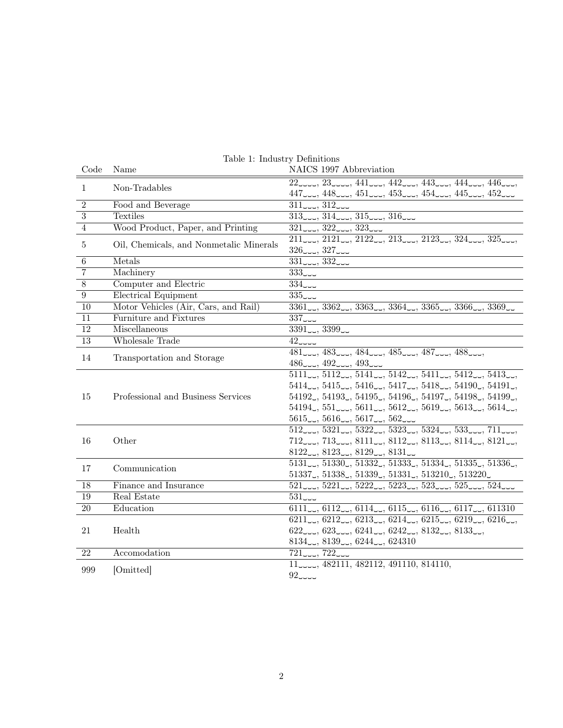| Code             | Name                                    | NAICS 1997 Abbreviation                                                                                                                                                                                                       |
|------------------|-----------------------------------------|-------------------------------------------------------------------------------------------------------------------------------------------------------------------------------------------------------------------------------|
| $\mathbf{1}$     | Non-Tradables                           | 22                                                                                                                                                                                                                            |
|                  |                                         | $447$ المبر $448$ المبر $453$ المبر $453$ المبر $454$ ر مبر $452$                                                                                                                                                             |
| $\overline{2}$   | Food and Beverage                       | 311                                                                                                                                                                                                                           |
| $\overline{3}$   | Textiles                                | $313$ المب $314$ المبر $315$ ورمبر $316$                                                                                                                                                                                      |
| $\overline{4}$   | Wood Product, Paper, and Printing       | 321                                                                                                                                                                                                                           |
| 5                | Oil, Chemicals, and Nonmetalic Minerals | $211$ $\ldots$ , $2121$ $\ldots$ , $2122$ $\ldots$ , $213$ $\ldots$ , $2123$ $\ldots$ , $324$ $\ldots$ , $325$ $\ldots$ ,                                                                                                     |
|                  |                                         | $326$ correly, $327$ correly                                                                                                                                                                                                  |
| 6                | Metals                                  | 331                                                                                                                                                                                                                           |
| $\overline{7}$   | Machinery                               | 333                                                                                                                                                                                                                           |
| $\overline{8}$   | Computer and Electric                   | 334                                                                                                                                                                                                                           |
| $\boldsymbol{9}$ | Electrical Equipment                    | 335                                                                                                                                                                                                                           |
| 10               | Motor Vehicles (Air, Cars, and Rail)    | $3361$ corrected at $3362$ corrected at $3364$ corrected at $3365$ corrected at $3366$ corrected at $3369$ corrected at $3369$ corrected at $3369$ corrected at $3369$ corrected at $3369$ corrected at $3369$ corrected at   |
| 11               | Furniture and Fixtures                  | 337                                                                                                                                                                                                                           |
| 12               | Miscellaneous                           | $3391$ $ 3399$ $-$                                                                                                                                                                                                            |
| 13               | Wholesale Trade                         | 42                                                                                                                                                                                                                            |
| 14               | Transportation and Storage              | 481, 483, 484, 485, 487, 488,                                                                                                                                                                                                 |
|                  |                                         | $486$ $ -$ , $492$ $ -$ , $493$ $ -$                                                                                                                                                                                          |
| 15               | Professional and Business Services      | $5111$ , $5112$ , $5141$ , $5142$ , $5411$ , $5412$ , $5413$ ,                                                                                                                                                                |
|                  |                                         | $5414, 5415, 5416, 5416, 5417, 5418, 54190, 54191,$                                                                                                                                                                           |
|                  |                                         | $54192, 54193, 54195, 54196, 54197, 54198, 54199,$                                                                                                                                                                            |
|                  |                                         | $54194, 551$ $\ldots$ , $5611$ $\ldots$ , $5612$ $\ldots$ , $5619$ $\ldots$ , $5613$ $\ldots$ , $5614$ $\ldots$ ,                                                                                                             |
|                  |                                         | $5615$ , $5616$ , $5617$ , $562$                                                                                                                                                                                              |
| 16               | Other                                   | $512$ $5321$ $5322$ $5323$ $5323$ $5324$ $5332$ $533$ $533$ $533$ $533$ $533$ $533$ $533$ $533$ $533$ $533$ $533$ $533$ $533$ $533$ $533$ $533$ $533$ $533$ $533$ $533$ $533$ $533$ $533$ $533$ $533$ $533$ $533$ $533$ $533$ |
|                  |                                         | $712$ $\sim$ $713$ $\sim$ $8111$ $\sim$ $8112$ $\sim$ $8113$ $\sim$ $8114$ $\sim$ $8121$ $\sim$                                                                                                                               |
|                  |                                         | $8122$ , $8123$ , $8129$ , $8131$                                                                                                                                                                                             |
| 17               | Communication                           | 5131., 51330., 51332., 51333., 51334., 51335., 51336.,                                                                                                                                                                        |
|                  |                                         | $51337, 51338, 51339, 51331, 513210, 513220$                                                                                                                                                                                  |
| 18               | Finance and Insurance                   | 521                                                                                                                                                                                                                           |
| 19               | Real Estate                             | 531                                                                                                                                                                                                                           |
| $20\,$           | Education                               | $6111, 6112, 6114, 6115, 6115, 6116, 6117, 611310$                                                                                                                                                                            |
| 21               | Health                                  | $6211$ , $6212$ , $6213$ , $6214$ , $6215$ , $6219$ , $6219$ , $6216$ ,                                                                                                                                                       |
|                  |                                         | 622                                                                                                                                                                                                                           |
|                  |                                         | $8134$ , $8139$ , $6244$ , $624310$                                                                                                                                                                                           |
| 22               | Accomodation                            | 721                                                                                                                                                                                                                           |
| 999              | [Omitted]                               | 11 <sub>1111</sub> , 482111, 482112, 491110, 814110,                                                                                                                                                                          |
|                  |                                         | 92                                                                                                                                                                                                                            |

Table 1: Industry Definitions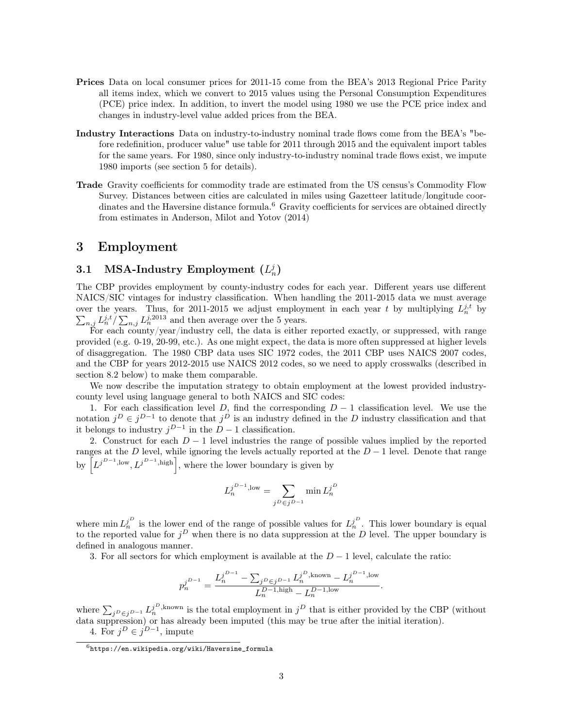- Prices Data on local consumer prices for 2011-15 come from the BEA's 2013 Regional Price Parity all items index, which we convert to 2015 values using the Personal Consumption Expenditures (PCE) price index. In addition, to invert the model using 1980 we use the PCE price index and changes in industry-level value added prices from the BEA.
- Industry Interactions Data on industry-to-industry nominal trade flows come from the BEA's "before redefinition, producer value" use table for 2011 through 2015 and the equivalent import tables for the same years. For 1980, since only industry-to-industry nominal trade flows exist, we impute 1980 imports (see section 5 for details).
- Trade Gravity coefficients for commodity trade are estimated from the US census's Commodity Flow Survey. Distances between cities are calculated in miles using Gazetteer latitude/longitude coordinates and the Haversine distance formula.<sup>6</sup> Gravity coefficients for services are obtained directly from estimates in Anderson, Milot and Yotov (2014)

# 3 Employment

# 3.1 MSA-Industry Employment  $(L_n^j)$

The CBP provides employment by county-industry codes for each year. Different years use different NAICS/SIC vintages for industry classification. When handling the 2011-2015 data we must average over the years. Thus, for 2011-2015 we adjust employment in each year t by multiplying  $L_n^{j,t}$  by  $\sum_{n,i} L_n^{j,t}/\sum_{n,i} L_n^{j,2013}$  and then average over the 5 years.  $_{n,j} L_n^{j,t} / \sum_{n,j} L_n^{j,2013}$  and then average over the 5 years.

For each county/year/industry cell, the data is either reported exactly, or suppressed, with range provided (e.g. 0-19, 20-99, etc.). As one might expect, the data is more often suppressed at higher levels of disaggregation. The 1980 CBP data uses SIC 1972 codes, the 2011 CBP uses NAICS 2007 codes, and the CBP for years 2012-2015 use NAICS 2012 codes, so we need to apply crosswalks (described in section 8.2 below) to make them comparable.

We now describe the imputation strategy to obtain employment at the lowest provided industrycounty level using language general to both NAICS and SIC codes:

1. For each classification level D, find the corresponding  $D-1$  classification level. We use the notation  $j^D \in j^{D-1}$  to denote that  $j^D$  is an industry defined in the D industry classification and that it belongs to industry  $j^{D-1}$  in the  $D-1$  classification.

2. Construct for each  $D-1$  level industries the range of possible values implied by the reported ranges at the D level, while ignoring the levels actually reported at the  $D-1$  level. Denote that range by  $\left[L^{j^{D-1},\text{low}}, L^{j^{D-1},\text{high}}\right]$ , where the lower boundary is given by

$$
L_n^{j^{D-1},\mathrm{low}}=\sum_{j^D\in j^{D-1}}\min L_n^{j^D}
$$

where  $\min L_n^{j^D}$  is the lower end of the range of possible values for  $L_n^{j^D}$ . This lower boundary is equal to the reported value for  $j^D$  when there is no data suppression at the D level. The upper boundary is defined in analogous manner.

3. For all sectors for which employment is available at the  $D-1$  level, calculate the ratio:

$$
p_n^{j^{D-1}} = \frac{L_n^{j^{D-1}} - \sum_{j^D \in j^{D-1}} L_n^{j^D, \text{known}} - L_n^{j^{D-1}, \text{low}}}{L_n^{D-1, \text{high}} - L_n^{D-1, \text{low}}}.
$$

where  $\sum_{j}D_{\in j}D_{-1}L_{n}^{j}$ <sup>D</sup>, known is the total employment in  $j^{D}$  that is either provided by the CBP (without data suppression) or has already been imputed (this may be true after the initial iteration).

4. For  $j^D \in j^{D-1}$ , impute

 $6$ https://en.wikipedia.org/wiki/Haversine\_formula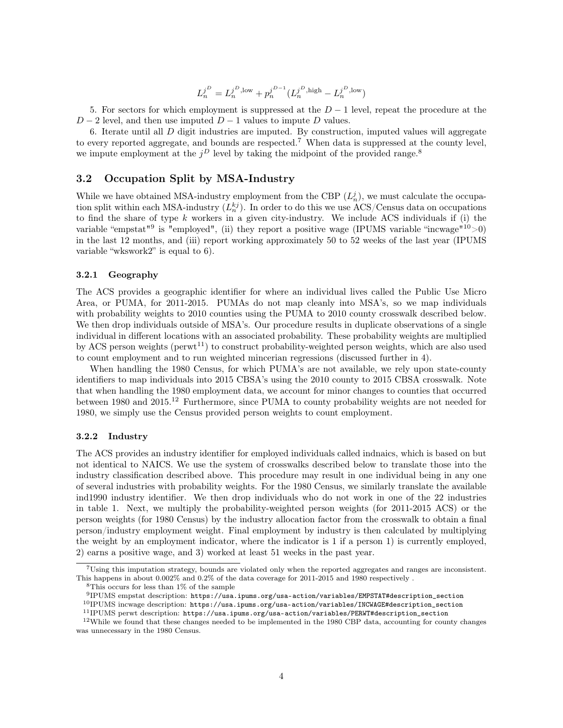$$
L_n^{j^D} = L_n^{j^D,\textnormal{low}} + p_n^{j^{D-1}} (L_n^{j^D,\textnormal{high}}-L_n^{j^D,\textnormal{low}})
$$

5. For sectors for which employment is suppressed at the  $D-1$  level, repeat the procedure at the  $D-2$  level, and then use imputed  $D-1$  values to impute D values.

6. Iterate until all D digit industries are imputed. By construction, imputed values will aggregate to every reported aggregate, and bounds are respected.<sup>7</sup> When data is suppressed at the county level, we impute employment at the  $j^D$  level by taking the midpoint of the provided range.<sup>8</sup>

## 3.2 Occupation Split by MSA-Industry

While we have obtained MSA-industry employment from the CBP  $(L_n^j)$ , we must calculate the occupation split within each MSA-industry  $(L_n^{kj})$ . In order to do this we use ACS/Census data on occupations to find the share of type  $k$  workers in a given city-industry. We include ACS individuals if (i) the variable "empstat"<sup>9</sup> is "employed", (ii) they report a positive wage (IPUMS variable "incwage" $10>0$ ) in the last 12 months, and (iii) report working approximately 50 to 52 weeks of the last year (IPUMS variable "wkswork2" is equal to 6).

### 3.2.1 Geography

The ACS provides a geographic identifier for where an individual lives called the Public Use Micro Area, or PUMA, for 2011-2015. PUMAs do not map cleanly into MSA's, so we map individuals with probability weights to 2010 counties using the PUMA to 2010 county crosswalk described below. We then drop individuals outside of MSA's. Our procedure results in duplicate observations of a single individual in different locations with an associated probability. These probability weights are multiplied by ACS person weights ( $perut^{11}$ ) to construct probability-weighted person weights, which are also used to count employment and to run weighted mincerian regressions (discussed further in 4).

When handling the 1980 Census, for which PUMA's are not available, we rely upon state-county identifiers to map individuals into 2015 CBSA's using the 2010 county to 2015 CBSA crosswalk. Note that when handling the 1980 employment data, we account for minor changes to counties that occurred between 1980 and 2015.<sup>12</sup> Furthermore, since PUMA to county probability weights are not needed for 1980, we simply use the Census provided person weights to count employment.

#### 3.2.2 Industry

The ACS provides an industry identifier for employed individuals called indnaics, which is based on but not identical to NAICS. We use the system of crosswalks described below to translate those into the industry classification described above. This procedure may result in one individual being in any one of several industries with probability weights. For the 1980 Census, we similarly translate the available ind1990 industry identifier. We then drop individuals who do not work in one of the 22 industries in table 1. Next, we multiply the probability-weighted person weights (for 2011-2015 ACS) or the person weights (for 1980 Census) by the industry allocation factor from the crosswalk to obtain a final person/industry employment weight. Final employment by industry is then calculated by multiplying the weight by an employment indicator, where the indicator is 1 if a person 1) is currently employed, 2) earns a positive wage, and 3) worked at least 51 weeks in the past year.

<sup>7</sup>Using this imputation strategy, bounds are violated only when the reported aggregates and ranges are inconsistent. This happens in about 0.002% and 0.2% of the data coverage for 2011-2015 and 1980 respectively .

<sup>8</sup>This occurs for less than 1% of the sample

<sup>9</sup> IPUMS empstat description: https://usa.ipums.org/usa-action/variables/EMPSTAT#description\_section

<sup>10</sup>IPUMS incwage description: https://usa.ipums.org/usa-action/variables/INCWAGE#description\_section

<sup>11</sup>IPUMS perwt description: https://usa.ipums.org/usa-action/variables/PERWT#description\_section

 $12$ While we found that these changes needed to be implemented in the 1980 CBP data, accounting for county changes was unnecessary in the 1980 Census.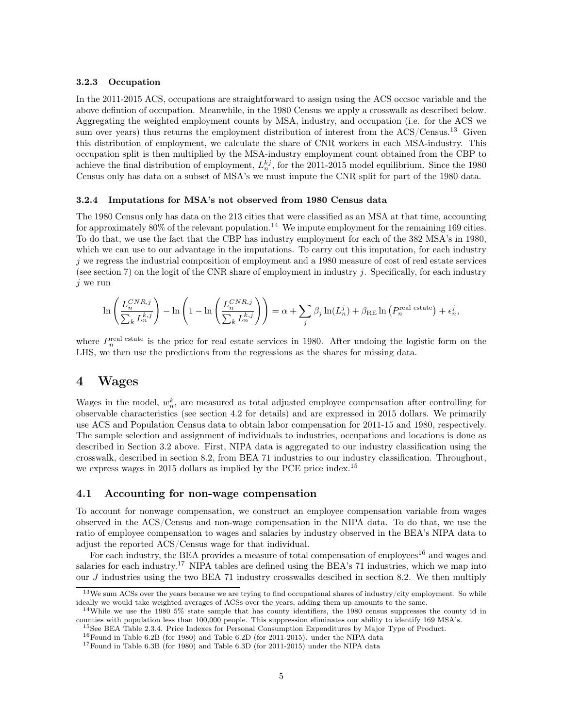#### 3.2.3 Occupation

In the 2011-2015 ACS, occupations are straightforward to assign using the ACS occsoc variable and the above defintion of occupation. Meanwhile, in the 1980 Census we apply a crosswalk as described below. Aggregating the weighted employment counts by MSA, industry, and occupation (i.e. for the ACS we sum over years) thus returns the employment distribution of interest from the ACS/Census.<sup>13</sup> Given this distribution of employment, we calculate the share of CNR workers in each MSA-industry. This occupation split is then multiplied by the MSA-industry employment count obtained from the CBP to achieve the final distribution of employment,  $L_n^{kj}$ , for the 2011-2015 model equilibrium. Since the 1980 Census only has data on a subset of MSA's we must impute the CNR split for part of the 1980 data.

### 3.2.4 Imputations for MSA's not observed from 1980 Census data

The 1980 Census only has data on the 213 cities that were classified as an MSA at that time, accounting for approximately  $80\%$  of the relevant population.<sup>14</sup> We impute employment for the remaining 169 cities. To do that, we use the fact that the CBP has industry employment for each of the 382 MSA's in 1980, which we can use to our advantage in the imputations. To carry out this imputation, for each industry  $j$  we regress the industrial composition of employment and a 1980 measure of cost of real estate services (see section 7) on the logit of the CNR share of employment in industry j. Specifically, for each industry  $j$  we run

$$
\ln\left(\frac{L_n^{CNR,j}}{\sum_k L_n^{k,j}}\right) - \ln\left(1 - \ln\left(\frac{L_n^{CNR,j}}{\sum_k L_n^{k,j}}\right)\right) = \alpha + \sum_j \beta_j \ln(L_n^j) + \beta_{\text{RE}} \ln\left(P_n^{\text{real estate}}\right) + \epsilon_n^j,
$$

where  $P_n^{\text{real estate}}$  is the price for real estate services in 1980. After undoing the logistic form on the LHS, we then use the predictions from the regressions as the shares for missing data.

# 4 Wages

Wages in the model,  $w_n^k$ , are measured as total adjusted employee compensation after controlling for observable characteristics (see section 4.2 for details) and are expressed in 2015 dollars. We primarily use ACS and Population Census data to obtain labor compensation for 2011-15 and 1980, respectively. The sample selection and assignment of individuals to industries, occupations and locations is done as described in Section 3.2 above. First, NIPA data is aggregated to our industry classification using the crosswalk, described in section 8.2, from BEA 71 industries to our industry classification. Throughout, we express wages in 2015 dollars as implied by the PCE price index.<sup>15</sup>

#### 4.1 Accounting for non-wage compensation

To account for nonwage compensation, we construct an employee compensation variable from wages observed in the ACS/Census and non-wage compensation in the NIPA data. To do that, we use the ratio of employee compensation to wages and salaries by industry observed in the BEA's NIPA data to adjust the reported ACS/Census wage for that individual.

For each industry, the BEA provides a measure of total compensation of employees<sup>16</sup> and wages and salaries for each industry.<sup>17</sup> NIPA tables are defined using the BEA's 71 industries, which we map into our  $J$  industries using the two BEA 71 industry crosswalks descibed in section 8.2. We then multiply

<sup>15</sup>See BEA Table 2.3.4. Price Indexes for Personal Consumption Expenditures by Major Type of Product.  $^{16}$ Found in Table 6.2B (for 1980) and Table 6.2D (for 2011-2015). under the NIPA data

 $13$ We sum ACSs over the years because we are trying to find occupational shares of industry/city employment. So while ideally we would take weighted averages of ACSs over the years, adding them up amounts to the same.

<sup>&</sup>lt;sup>14</sup>While we use the 1980 5% state sample that has county identifiers, the 1980 census suppresses the county id in counties with population less than 100,000 people. This suppression eliminates our ability to identify 169 MSA's.

<sup>17</sup>Found in Table 6.3B (for 1980) and Table 6.3D (for 2011-2015) under the NIPA data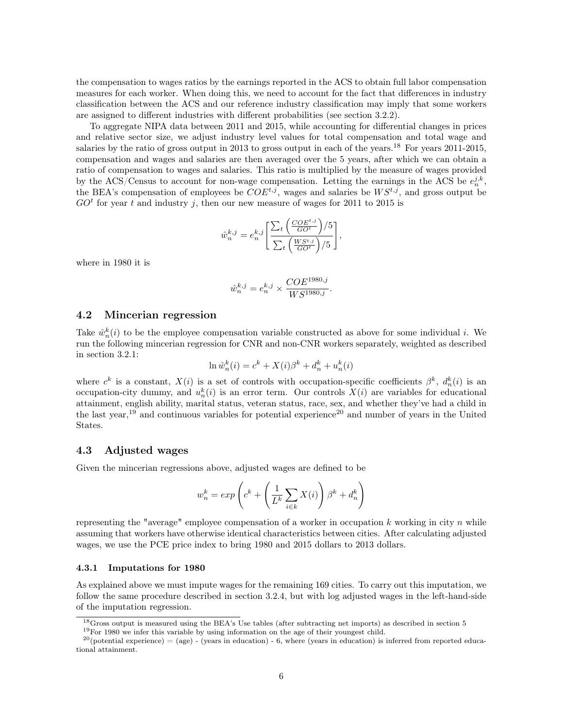the compensation to wages ratios by the earnings reported in the ACS to obtain full labor compensation measures for each worker. When doing this, we need to account for the fact that differences in industry classification between the ACS and our reference industry classification may imply that some workers are assigned to different industries with different probabilities (see section 3.2.2).

To aggregate NIPA data between 2011 and 2015, while accounting for differential changes in prices and relative sector size, we adjust industry level values for total compensation and total wage and salaries by the ratio of gross output in 2013 to gross output in each of the years.<sup>18</sup> For years 2011-2015, compensation and wages and salaries are then averaged over the 5 years, after which we can obtain a ratio of compensation to wages and salaries. This ratio is multiplied by the measure of wages provided by the ACS/Census to account for non-wage compensation. Letting the earnings in the ACS be  $e_n^{j,k}$ , the BEA's compensation of employees be  $COE^{t,j}$ , wages and salaries be  $WS^{t,j}$ , and gross output be  $GO<sup>t</sup>$  for year t and industry j, then our new measure of wages for 2011 to 2015 is

$$
\hat{w}_n^{k,j} = e_n^{k,j} \left[ \frac{\sum_t \left( \frac{COE^{t,j}}{GO^t} \right) / 5}{\sum_t \left( \frac{WS^{t,j}}{GO^t} \right) / 5} \right],
$$

where in 1980 it is

$$
\hat{w}_n^{k,j} = e_n^{k,j} \times \frac{COE^{1980,j}}{WS^{1980,j}}.
$$

### 4.2 Mincerian regression

Take  $\hat{w}_n^k(i)$  to be the employee compensation variable constructed as above for some individual i. We run the following mincerian regression for CNR and non-CNR workers separately, weighted as described in section 3.2.1:

$$
\ln \hat{w}_n^k(i) = c^k + X(i)\beta^k + d_n^k + u_n^k(i)
$$

where  $c^k$  is a constant,  $X(i)$  is a set of controls with occupation-specific coefficients  $\beta^k$ ,  $d_n^k(i)$  is an occupation-city dummy, and  $u_n^k(i)$  is an error term. Our controls  $X(i)$  are variables for educational attainment, english ability, marital status, veteran status, race, sex, and whether they've had a child in the last year,<sup>19</sup> and continuous variables for potential experience<sup>20</sup> and number of years in the United States.

## 4.3 Adjusted wages

Given the mincerian regressions above, adjusted wages are defined to be

$$
w_n^k = exp\left(c^k + \left(\frac{1}{L^k}\sum_{i \in k} X(i)\right)\beta^k + d_n^k\right)
$$

representing the "average" employee compensation of a worker in occupation k working in city n while assuming that workers have otherwise identical characteristics between cities. After calculating adjusted wages, we use the PCE price index to bring 1980 and 2015 dollars to 2013 dollars.

#### 4.3.1 Imputations for 1980

As explained above we must impute wages for the remaining 169 cities. To carry out this imputation, we follow the same procedure described in section 3.2.4, but with log adjusted wages in the left-hand-side of the imputation regression.

<sup>18</sup>Gross output is measured using the BEA's Use tables (after subtracting net imports) as described in section 5 <sup>19</sup>For 1980 we infer this variable by using information on the age of their youngest child.

 $20$ (potential experience) = (age) - (years in education) - 6, where (years in education) is inferred from reported educational attainment.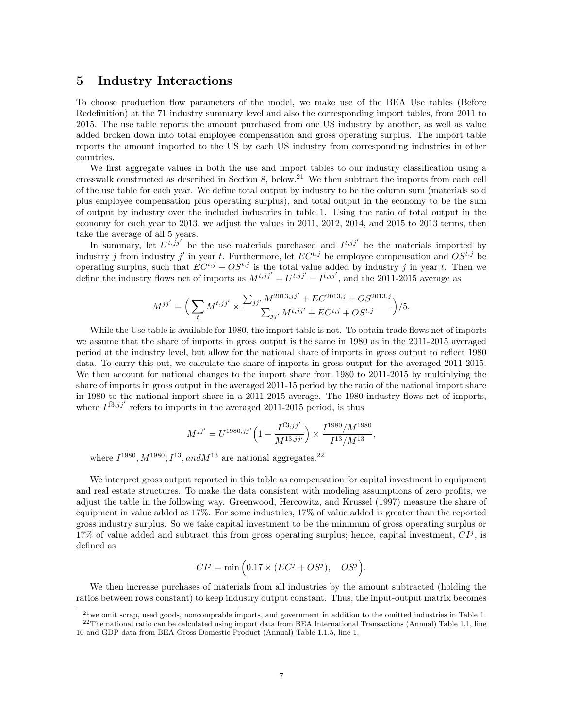# 5 Industry Interactions

To choose production flow parameters of the model, we make use of the BEA Use tables (Before Redefinition) at the 71 industry summary level and also the corresponding import tables, from 2011 to 2015. The use table reports the amount purchased from one US industry by another, as well as value added broken down into total employee compensation and gross operating surplus. The import table reports the amount imported to the US by each US industry from corresponding industries in other countries.

We first aggregate values in both the use and import tables to our industry classification using a crosswalk constructed as described in Section 8, below.<sup>21</sup> We then subtract the imports from each cell of the use table for each year. We define total output by industry to be the column sum (materials sold plus employee compensation plus operating surplus), and total output in the economy to be the sum of output by industry over the included industries in table 1. Using the ratio of total output in the economy for each year to 2013, we adjust the values in 2011, 2012, 2014, and 2015 to 2013 terms, then take the average of all 5 years.

In summary, let  $U^{t,jj'}$  be the use materials purchased and  $I^{t,jj'}$  be the materials imported by industry j from industry j' in year t. Furthermore, let  $EC^{t,j}$  be employee compensation and  $OS^{t,j}$  be operating surplus, such that  $EC^{t,j} + OS^{t,j}$  is the total value added by industry j in year t. Then we define the industry flows net of imports as  $M^{t,jj'} = U^{t,jj'} - I^{t,jj'}$ , and the 2011-2015 average as

$$
M^{jj'} = \Big(\sum_t M^{t,jj'} \times \frac{\sum_{jj'} M^{2013,jj'} + EC^{2013,j} + OS^{2013,j}}{\sum_{jj'} M^{t,jj'} + EC^{t,j} + OS^{t,j}} \Big) /5.
$$

While the Use table is available for 1980, the import table is not. To obtain trade flows net of imports we assume that the share of imports in gross output is the same in 1980 as in the 2011-2015 averaged period at the industry level, but allow for the national share of imports in gross output to reflect 1980 data. To carry this out, we calculate the share of imports in gross output for the averaged 2011-2015. We then account for national changes to the import share from 1980 to 2011-2015 by multiplying the share of imports in gross output in the averaged 2011-15 period by the ratio of the national import share in 1980 to the national import share in a 2011-2015 average. The 1980 industry flows net of imports, where  $I^{13,jj'}$  refers to imports in the averaged 2011-2015 period, is thus

$$
M^{jj'} = U^{1980,jj'} \left( 1 - \frac{I^{13,jj'}}{M^{13,jj'}} \right) \times \frac{I^{1980}/M^{1980}}{I^{13}/M^{13}},
$$

where  $I^{1980}, M^{1980}, I^{\bar{13}}, and M^{\bar{13}}$  are national aggregates.<sup>22</sup>

We interpret gross output reported in this table as compensation for capital investment in equipment and real estate structures. To make the data consistent with modeling assumptions of zero profits, we adjust the table in the following way. Greenwood, Hercowitz, and Krussel (1997) measure the share of equipment in value added as 17%. For some industries, 17% of value added is greater than the reported gross industry surplus. So we take capital investment to be the minimum of gross operating surplus or 17% of value added and subtract this from gross operating surplus; hence, capital investment,  $CI<sup>j</sup>$ , is defined as

$$
CIj = \min (0.17 \times (ECj + OSj), OSj).
$$

We then increase purchases of materials from all industries by the amount subtracted (holding the ratios between rows constant) to keep industry output constant. Thus, the input-output matrix becomes

 $^{21}$ we omit scrap, used goods, noncomprable imports, and government in addition to the omitted industries in Table 1.  $^{22}$ The national ratio can be calculated using import data from BEA International Transactions (Annual) Table 1.1, line

<sup>10</sup> and GDP data from BEA Gross Domestic Product (Annual) Table 1.1.5, line 1.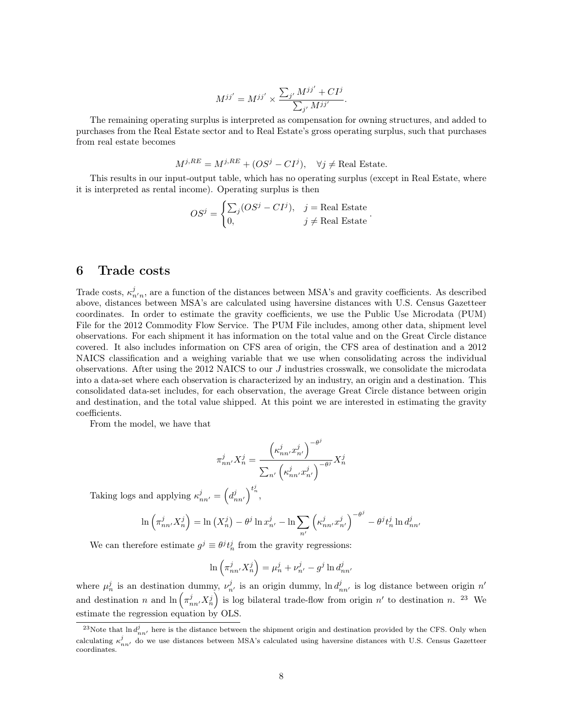$$
M^{jj'} = M^{jj'} \times \frac{\sum_{j'} M^{jj'} + CI^j}{\sum_{j'} M^{jj'}}.
$$

The remaining operating surplus is interpreted as compensation for owning structures, and added to purchases from the Real Estate sector and to Real Estate's gross operating surplus, such that purchases from real estate becomes

$$
M^{j,RE} = M^{j,RE} + (OS^j - CI^j), \quad \forall j \neq \text{Real Estimate}.
$$

This results in our input-output table, which has no operating surplus (except in Real Estate, where it is interpreted as rental income). Operating surplus is then

$$
OSj = \begin{cases} \sum_{j} (OSj - CIj), & j = \text{Real Estimate} \\ 0, & j \neq \text{Real Estimate} \end{cases}.
$$

## 6 Trade costs

Trade costs,  $\kappa_{n'n}^j$ , are a function of the distances between MSA's and gravity coefficients. As described above, distances between MSA's are calculated using haversine distances with U.S. Census Gazetteer coordinates. In order to estimate the gravity coefficients, we use the Public Use Microdata (PUM) File for the 2012 Commodity Flow Service. The PUM File includes, among other data, shipment level observations. For each shipment it has information on the total value and on the Great Circle distance covered. It also includes information on CFS area of origin, the CFS area of destination and a 2012 NAICS classification and a weighing variable that we use when consolidating across the individual observations. After using the 2012 NAICS to our  $J$  industries crosswalk, we consolidate the microdata into a data-set where each observation is characterized by an industry, an origin and a destination. This consolidated data-set includes, for each observation, the average Great Circle distance between origin and destination, and the total value shipped. At this point we are interested in estimating the gravity coefficients.

From the model, we have that

$$
\pi_{nn'}^j X_n^j = \frac{\left(\kappa_{nn'}^j x_{n'}^j\right)^{-\theta^j}}{\sum_{n'} \left(\kappa_{nn'}^j x_{n'}^j\right)^{-\theta^j}} X_n^j
$$

Taking logs and applying  $\kappa_{nn'}^j = \left(d_{nn'}^j\right)^{t_n^j}$ ,

$$
\ln\left(\pi_{nn'}^j X_n^j\right) = \ln\left(X_n^j\right) - \theta^j \ln x_{n'}^j - \ln \sum_{n'} \left(\kappa_{nn'}^j x_{n'}^j\right)^{-\theta^j} - \theta^j t_n^j \ln d_{nn'}^j
$$

We can therefore estimate  $g^j \equiv \theta^j t_n^j$  from the gravity regressions:

$$
\ln\left(\pi_{nn'}^j X_n^j\right) = \mu_n^j + \nu_{n'}^j - g^j \ln d_{nn'}^j
$$

where  $\mu_n^j$  is an destination dummy,  $\nu_{n'}^j$  is an origin dummy,  $\ln d_{nn'}^j$  is log distance between origin  $n'$ and destination n and  $\ln \left( \pi_{nn'}^j X_n^j \right)$  is log bilateral trade-flow from origin n' to destination n. <sup>23</sup> We estimate the regression equation by OLS.

<sup>&</sup>lt;sup>23</sup>Note that  $\ln d_{nn'}^j$  here is the distance between the shipment origin and destination provided by the CFS. Only when calculating  $\kappa_{nn'}^j$  do we use distances between MSA's calculated using haversine distances with U.S. Census Gazetteer coordinates.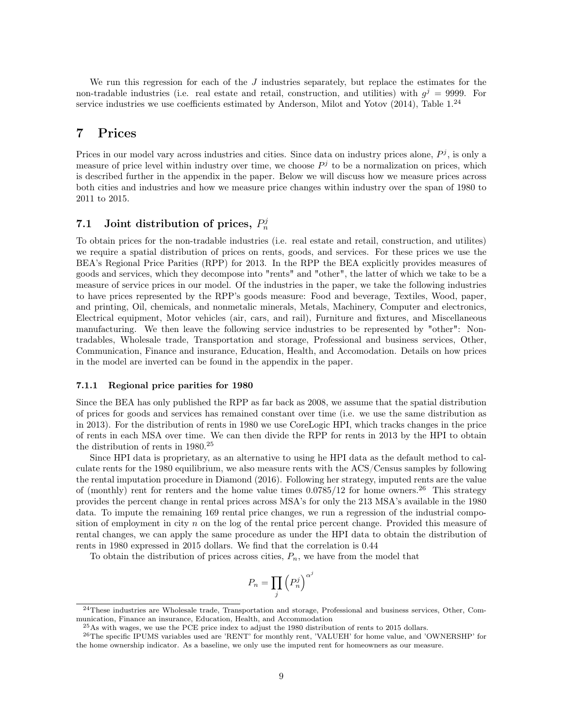We run this regression for each of the  $J$  industries separately, but replace the estimates for the non-tradable industries (i.e. real estate and retail, construction, and utilities) with  $g^{j} = 9999$ . For service industries we use coefficients estimated by Anderson, Milot and Yotov  $(2014)$ , Table 1.<sup>24</sup>

# 7 Prices

Prices in our model vary across industries and cities. Since data on industry prices alone,  $P<sup>j</sup>$ , is only a measure of price level within industry over time, we choose  $P<sup>j</sup>$  to be a normalization on prices, which is described further in the appendix in the paper. Below we will discuss how we measure prices across both cities and industries and how we measure price changes within industry over the span of 1980 to 2011 to 2015.

# 7.1 Joint distribution of prices,  $P_n^j$

To obtain prices for the non-tradable industries (i.e. real estate and retail, construction, and utilites) we require a spatial distribution of prices on rents, goods, and services. For these prices we use the BEA's Regional Price Parities (RPP) for 2013. In the RPP the BEA explicitly provides measures of goods and services, which they decompose into "rents" and "other", the latter of which we take to be a measure of service prices in our model. Of the industries in the paper, we take the following industries to have prices represented by the RPP's goods measure: Food and beverage, Textiles, Wood, paper, and printing, Oil, chemicals, and nonmetalic minerals, Metals, Machinery, Computer and electronics, Electrical equipment, Motor vehicles (air, cars, and rail), Furniture and fixtures, and Miscellaneous manufacturing. We then leave the following service industries to be represented by "other": Nontradables, Wholesale trade, Transportation and storage, Professional and business services, Other, Communication, Finance and insurance, Education, Health, and Accomodation. Details on how prices in the model are inverted can be found in the appendix in the paper.

### 7.1.1 Regional price parities for 1980

Since the BEA has only published the RPP as far back as 2008, we assume that the spatial distribution of prices for goods and services has remained constant over time (i.e. we use the same distribution as in 2013). For the distribution of rents in 1980 we use CoreLogic HPI, which tracks changes in the price of rents in each MSA over time. We can then divide the RPP for rents in 2013 by the HPI to obtain the distribution of rents in 1980.<sup>25</sup>

Since HPI data is proprietary, as an alternative to using he HPI data as the default method to calculate rents for the 1980 equilibrium, we also measure rents with the ACS/Census samples by following the rental imputation procedure in Diamond (2016). Following her strategy, imputed rents are the value of (monthly) rent for renters and the home value times  $0.0785/12$  for home owners.<sup>26</sup> This strategy provides the percent change in rental prices across MSA's for only the 213 MSA's available in the 1980 data. To impute the remaining 169 rental price changes, we run a regression of the industrial composition of employment in city n on the log of the rental price percent change. Provided this measure of rental changes, we can apply the same procedure as under the HPI data to obtain the distribution of rents in 1980 expressed in 2015 dollars. We find that the correlation is 0.44

To obtain the distribution of prices across cities,  $P_n$ , we have from the model that

$$
P_n = \prod_j \left(P_n^j\right)^{\alpha^j}
$$

<sup>24</sup>These industries are Wholesale trade, Transportation and storage, Professional and business services, Other, Communication, Finance an insurance, Education, Health, and Accommodation

 $^{25}\mathrm{As}$  with wages, we use the PCE price index to adjust the 1980 distribution of rents to 2015 dollars.

<sup>26</sup>The specific IPUMS variables used are 'RENT' for monthly rent, 'VALUEH' for home value, and 'OWNERSHP' for the home ownership indicator. As a baseline, we only use the imputed rent for homeowners as our measure.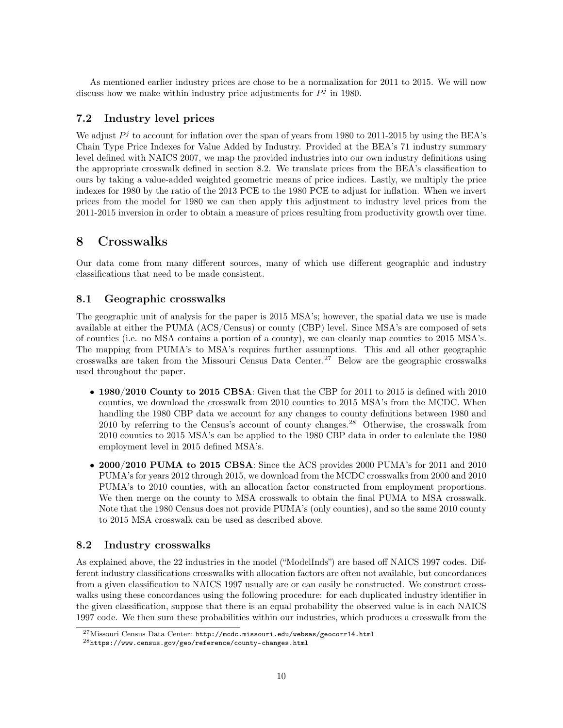As mentioned earlier industry prices are chose to be a normalization for 2011 to 2015. We will now discuss how we make within industry price adjustments for  $P<sup>j</sup>$  in 1980.

# 7.2 Industry level prices

We adjust  $P<sup>j</sup>$  to account for inflation over the span of years from 1980 to 2011-2015 by using the BEA's Chain Type Price Indexes for Value Added by Industry. Provided at the BEA's 71 industry summary level defined with NAICS 2007, we map the provided industries into our own industry definitions using the appropriate crosswalk defined in section 8.2. We translate prices from the BEA's classification to ours by taking a value-added weighted geometric means of price indices. Lastly, we multiply the price indexes for 1980 by the ratio of the 2013 PCE to the 1980 PCE to adjust for inflation. When we invert prices from the model for 1980 we can then apply this adjustment to industry level prices from the 2011-2015 inversion in order to obtain a measure of prices resulting from productivity growth over time.

# 8 Crosswalks

Our data come from many different sources, many of which use different geographic and industry classifications that need to be made consistent.

## 8.1 Geographic crosswalks

The geographic unit of analysis for the paper is 2015 MSA's; however, the spatial data we use is made available at either the PUMA (ACS/Census) or county (CBP) level. Since MSA's are composed of sets of counties (i.e. no MSA contains a portion of a county), we can cleanly map counties to 2015 MSA's. The mapping from PUMA's to MSA's requires further assumptions. This and all other geographic crosswalks are taken from the Missouri Census Data Center.<sup>27</sup> Below are the geographic crosswalks used throughout the paper.

- 1980/2010 County to 2015 CBSA: Given that the CBP for 2011 to 2015 is defined with 2010 counties, we download the crosswalk from 2010 counties to 2015 MSA's from the MCDC. When handling the 1980 CBP data we account for any changes to county definitions between 1980 and 2010 by referring to the Census's account of county changes.<sup>28</sup> Otherwise, the crosswalk from 2010 counties to 2015 MSA's can be applied to the 1980 CBP data in order to calculate the 1980 employment level in 2015 defined MSA's.
- 2000/2010 PUMA to 2015 CBSA: Since the ACS provides 2000 PUMA's for 2011 and 2010 PUMA's for years 2012 through 2015, we download from the MCDC crosswalks from 2000 and 2010 PUMA's to 2010 counties, with an allocation factor constructed from employment proportions. We then merge on the county to MSA crosswalk to obtain the final PUMA to MSA crosswalk. Note that the 1980 Census does not provide PUMA's (only counties), and so the same 2010 county to 2015 MSA crosswalk can be used as described above.

### 8.2 Industry crosswalks

As explained above, the 22 industries in the model ("ModelInds") are based off NAICS 1997 codes. Different industry classifications crosswalks with allocation factors are often not available, but concordances from a given classification to NAICS 1997 usually are or can easily be constructed. We construct crosswalks using these concordances using the following procedure: for each duplicated industry identifier in the given classification, suppose that there is an equal probability the observed value is in each NAICS 1997 code. We then sum these probabilities within our industries, which produces a crosswalk from the

<sup>27</sup>Missouri Census Data Center: http://mcdc.missouri.edu/websas/geocorr14.html

<sup>28</sup>https://www.census.gov/geo/reference/county-changes.html